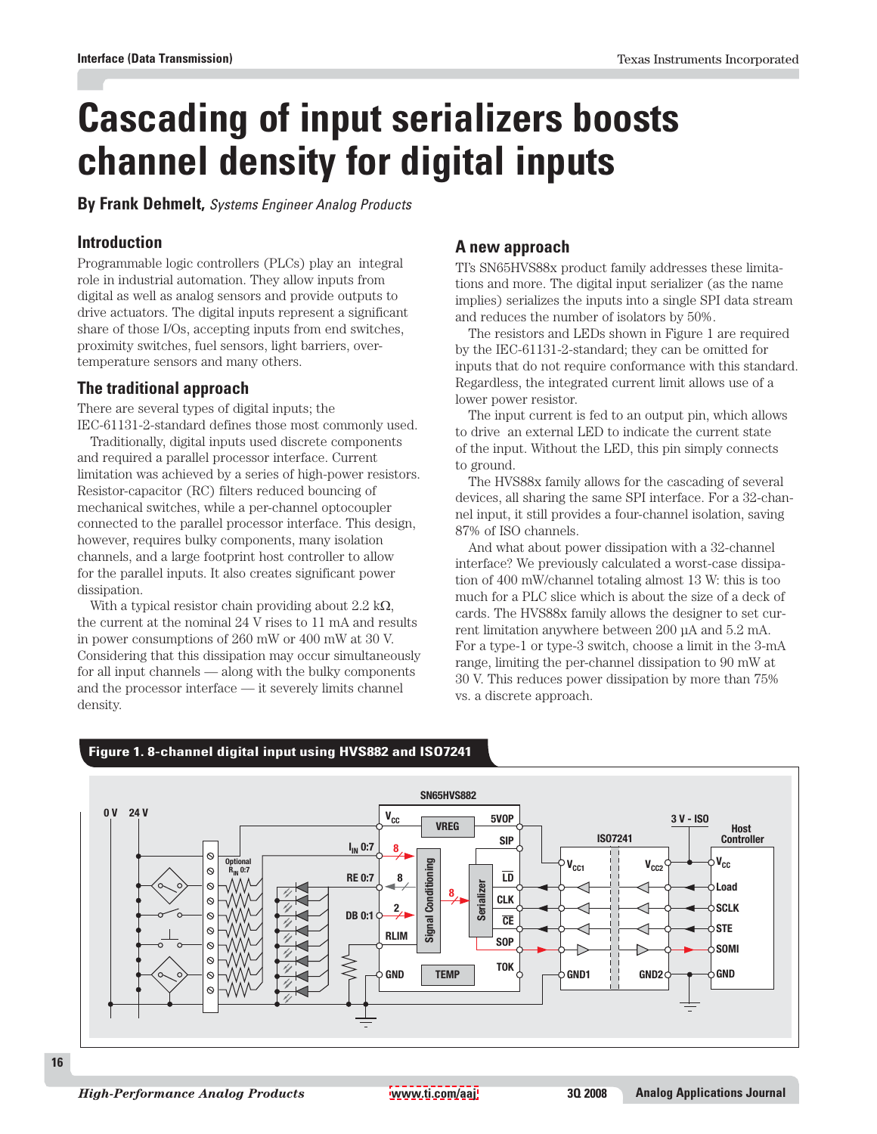# **Cascading of input serializers boosts channel density for digital inputs**

**By Frank Dehmelt,** Systems Engineer Analog Products

## **Introduction**

Programmable logic controllers (PLCs) play an integral role in industrial automation. They allow inputs from digital as well as analog sensors and provide outputs to drive actuators. The digital inputs represent a significant share of those I/Os, accepting inputs from end switches, proximity switches, fuel sensors, light barriers, overtemperature sensors and many others.

## **The traditional approach**

There are several types of digital inputs; the IEC-61131-2-standard defines those most commonly used.

Traditionally, digital inputs used discrete components and required a parallel processor interface. Current limitation was achieved by a series of high-power resistors. Resistor-capacitor (RC) filters reduced bouncing of mechanical switches, while a per-channel optocoupler connected to the parallel processor interface. This design, however, requires bulky components, many isolation channels, and a large footprint host controller to allow for the parallel inputs. It also creates significant power dissipation.

With a typical resistor chain providing about  $2.2 \text{ k}\Omega$ , the current at the nominal 24 V rises to 11 mA and results in power consumptions of 260 mW or 400 mW at 30 V. Considering that this dissipation may occur simultaneously for all input channels — along with the bulky components and the processor interface — it severely limits channel density.

## **A new approach**

TI's SN65HVS88x product family addresses these limitations and more. The digital input serializer (as the name implies) serializes the inputs into a single SPI data stream and reduces the number of isolators by 50%.

The resistors and LEDs shown in Figure 1 are required by the IEC-61131-2-standard; they can be omitted for inputs that do not require conformance with this standard. Regardless, the integrated current limit allows use of a lower power resistor.

The input current is fed to an output pin, which allows to drive an external LED to indicate the current state of the input. Without the LED, this pin simply connects to ground.

The HVS88x family allows for the cascading of several devices, all sharing the same SPI interface. For a 32-channel input, it still provides a four-channel isolation, saving 87% of ISO channels.

And what about power dissipation with a 32-channel interface? We previously calculated a worst-case dissipation of 400 mW/channel totaling almost 13 W: this is too much for a PLC slice which is about the size of a deck of cards. The HVS88x family allows the designer to set current limitation anywhere between 200 µA and 5.2 mA. For a type-1 or type-3 switch, choose a limit in the 3-mA range, limiting the per-channel dissipation to 90 mW at 30 V. This reduces power dissipation by more than 75% vs. a discrete approach.



## **Figure 1. 8-channel digital input using HVS882 and ISO7241**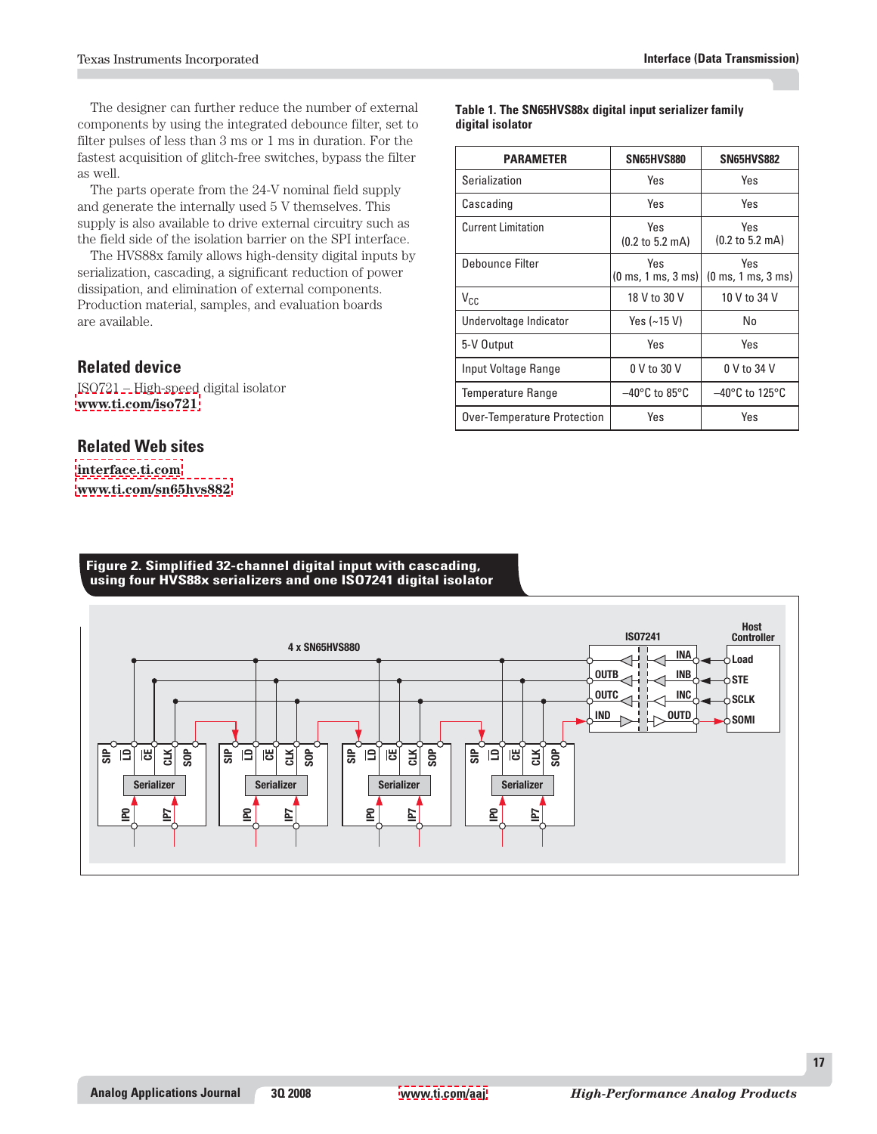The designer can further reduce the number of external components by using the integrated debounce filter, set to filter pulses of less than 3 ms or 1 ms in duration. For the fastest acquisition of glitch-free switches, bypass the filter as well.

The parts operate from the 24-V nominal field supply and generate the internally used 5 V themselves. This supply is also available to drive external circuitry such as the field side of the isolation barrier on the SPI interface.

The HVS88x family allows high-density digital inputs by serialization, cascading, a significant reduction of power dissipation, and elimination of external components. Production material, samples, and evaluation boards are available.

## **Related device**

ISO721 – High-speed digital isolator **[www.ti.com/iso721](http://www.ti.com/iso721)**

#### **Related Web sites**

**[interface.ti.com](http://interface.ti.com) [www.ti.com/sn65hvs882](http://www.ti.com/sn65hvs882)**

#### **Table 1. The SN65HVS88x digital input serializer family digital isolator**

| <b>PARAMETER</b>            | SN65HVS880                                          | <b>SN65HVS882</b>                                   |
|-----------------------------|-----------------------------------------------------|-----------------------------------------------------|
| Serialization               | Yes                                                 | Yes                                                 |
| Cascading                   | Yes                                                 | Yes                                                 |
| <b>Current Limitation</b>   | Yes<br>$(0.2 \text{ to } 5.2 \text{ mA})$           | Yes<br>$(0.2 \text{ to } 5.2 \text{ mA})$           |
| Debounce Filter             | Yes<br>$(0 \text{ ms}, 1 \text{ ms}, 3 \text{ ms})$ | Yes<br>$(0 \text{ ms}, 1 \text{ ms}, 3 \text{ ms})$ |
| $V_{CC}$                    | 18 V to 30 V                                        | 10 V to 34 V                                        |
| Undervoltage Indicator      | Yes $(-15 V)$                                       | No                                                  |
| 5-V Output                  | Yes                                                 | Yes                                                 |
| Input Voltage Range         | 0 V to 30 V                                         | 0 V to 34 V                                         |
| <b>Temperature Range</b>    | $-40^{\circ}$ C to 85 $^{\circ}$ C                  | $-40^{\circ}$ C to 125 $^{\circ}$ C                 |
| Over-Temperature Protection | Yes                                                 | Yes                                                 |

#### **Figure 2. Simplified 32-channel digital input with cascading, using four HVS88x serializers and one ISO7241 digital isolator**